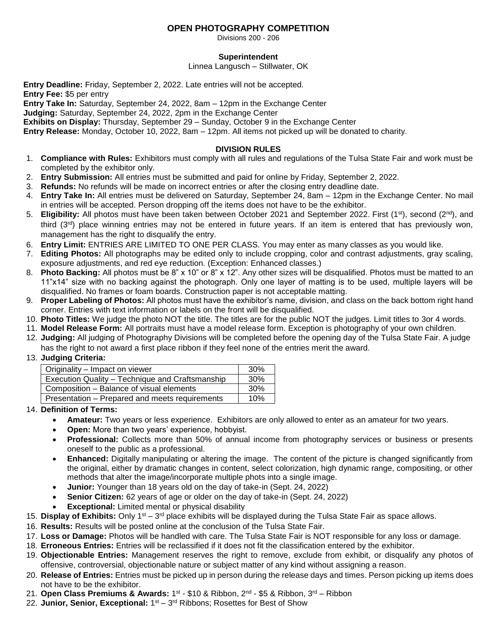## **OPEN PHOTOGRAPHY COMPETITION**

Divisions 200 - 206

### **Superintendent**

Linnea Langusch – Stillwater, OK

**Entry Deadline:** Friday, September 2, 2022. Late entries will not be accepted. **Entry Fee:** \$5 per entry

**Entry Take In:** Saturday, September 24, 2022, 8am – 12pm in the Exchange Center

**Judging:** Saturday, September 24, 2022, 2pm in the Exchange Center

**Exhibits on Display:** Thursday, September 29 – Sunday, October 9 in the Exchange Center

**Entry Release:** Monday, October 10, 2022, 8am – 12pm. All items not picked up will be donated to charity.

### **DIVISION RULES**

- 1. **Compliance with Rules:** Exhibitors must comply with all rules and regulations of the Tulsa State Fair and work must be completed by the exhibitor only.
- 2. **Entry Submission:** All entries must be submitted and paid for online by Friday, September 2, 2022.
- 3. **Refunds:** No refunds will be made on incorrect entries or after the closing entry deadline date.
- 4. **Entry Take In:** All entries must be delivered on Saturday, September 24, 8am 12pm in the Exchange Center. No mail in entries will be accepted. Person dropping off the items does not have to be the exhibitor.
- 5. Eligibility: All photos must have been taken between October 2021 and September 2022. First (1<sup>st</sup>), second (2<sup>nd</sup>), and third (3 rd) place winning entries may not be entered in future years. If an item is entered that has previously won, management has the right to disqualify the entry.
- 6. **Entry Limit:** ENTRIES ARE LIMITED TO ONE PER CLASS. You may enter as many classes as you would like.
- 7. **Editing Photos:** All photographs may be edited only to include cropping, color and contrast adjustments, gray scaling, exposure adjustments, and red eye reduction. (Exception: Enhanced classes.)
- 8. **Photo Backing:** All photos must be 8" x 10" or 8" x 12". Any other sizes will be disqualified. Photos must be matted to an 11"x14" size with no backing against the photograph. Only one layer of matting is to be used, multiple layers will be disqualified. No frames or foam boards. Construction paper is not acceptable matting.
- 9. **Proper Labeling of Photos:** All photos must have the exhibitor's name, division, and class on the back bottom right hand corner. Entries with text information or labels on the front will be disqualified.
- 10. **Photo Titles:** We judge the photo NOT the title. The titles are for the public NOT the judges. Limit titles to 3or 4 words.
- 11. **Model Release Form:** All portraits must have a model release form. Exception is photography of your own children.
- 12. **Judging:** All judging of Photography Divisions will be completed before the opening day of the Tulsa State Fair. A judge has the right to not award a first place ribbon if they feel none of the entries merit the award.
- 13. **Judging Criteria:**

| Originality – Impact on viewer                  | 30%        |
|-------------------------------------------------|------------|
| Execution Quality - Technique and Craftsmanship | <b>30%</b> |
| Composition – Balance of visual elements        | <b>30%</b> |
| Presentation - Prepared and meets requirements  | 10%        |

14. **Definition of Terms:**

- **Amateur:** Two years or less experience. Exhibitors are only allowed to enter as an amateur for two years.
- **Open:** More than two years' experience, hobbyist.
- **Professional:** Collects more than 50% of annual income from photography services or business or presents oneself to the public as a professional.
- **Enhanced:** Digitally manipulating or altering the image. The content of the picture is changed significantly from the original, either by dramatic changes in content, select colorization, high dynamic range, compositing, or other methods that alter the image/incorporate multiple phots into a single image.
- **Junior:** Younger than 18 years old on the day of take-in (Sept. 24, 2022)
- **Senior Citizen:** 62 years of age or older on the day of take-in (Sept. 24, 2022)
- **Exceptional:** Limited mental or physical disability
- 15. Display of Exhibits: Only 1<sup>st</sup> 3<sup>rd</sup> place exhibits will be displayed during the Tulsa State Fair as space allows.
- 16. **Results:** Results will be posted online at the conclusion of the Tulsa State Fair.
- 17. **Loss or Damage:** Photos will be handled with care. The Tulsa State Fair is NOT responsible for any loss or damage.
- 18. **Erroneous Entries:** Entries will be reclassified if it does not fit the classification entered by the exhibitor.
- 19. **Objectionable Entries:** Management reserves the right to remove, exclude from exhibit, or disqualify any photos of offensive, controversial, objectionable nature or subject matter of any kind without assigning a reason.
- 20. **Release of Entries:** Entries must be picked up in person during the release days and times. Person picking up items does not have to be the exhibitor.
- 21. **Open Class Premiums & Awards:** 1ଖ \$10 & Ribbon, 2<sup>nd</sup> \$5 & Ribbon, 3<sup>rd</sup> Ribbon
- 22. Junior, Senior, Exceptional: 1<sup>st</sup> 3<sup>rd</sup> Ribbons; Rosettes for Best of Show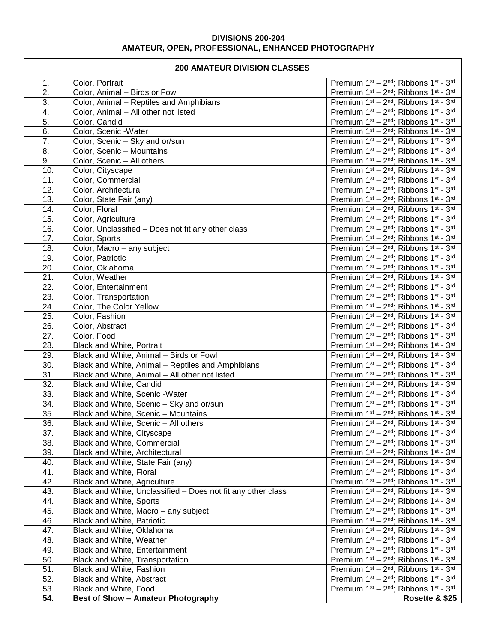## **DIVISIONS 200-204 AMATEUR, OPEN, PROFESSIONAL, ENHANCED PHOTOGRAPHY**

# **200 AMATEUR DIVISION CLASSES**

 $\Gamma$ 

| ZUU AMATEUR DIVISION GLASSES |                                                              |                                                                                       |
|------------------------------|--------------------------------------------------------------|---------------------------------------------------------------------------------------|
| 1.                           | Color, Portrait                                              | Premium 1st - 2nd; Ribbons 1st - 3rd                                                  |
| $\overline{2}$ .             | Color, Animal - Birds or Fowl                                | Premium 1st - 2nd; Ribbons 1st - 3rd                                                  |
| $\overline{3}$ .             | Color, Animal - Reptiles and Amphibians                      | Premium 1st - 2nd; Ribbons 1st - 3rd                                                  |
| 4.                           | Color, Animal - All other not listed                         | Premium 1st - 2nd; Ribbons 1st - 3rd                                                  |
| $\overline{5}$ .             | Color, Candid                                                | Premium 1st - 2nd; Ribbons 1st - 3rd                                                  |
| 6.                           | Color, Scenic -Water                                         | Premium 1st - 2nd; Ribbons 1st - 3rd                                                  |
| $\overline{7}$ .             | Color, Scenic - Sky and or/sun                               | Premium 1st - 2nd; Ribbons 1st - 3rd                                                  |
| $\overline{8}$ .             | Color, Scenic - Mountains                                    | Premium 1st - 2nd; Ribbons 1st - 3rd                                                  |
| 9.                           | Color, Scenic - All others                                   | Premium 1st - 2nd; Ribbons 1st - 3rd                                                  |
| 10.                          | Color, Cityscape                                             | Premium 1st - 2nd; Ribbons 1st - 3rd                                                  |
| 11.                          | Color, Commercial                                            | Premium 1st - 2nd; Ribbons 1st - 3rd                                                  |
| 12.                          | Color, Architectural                                         | Premium 1st - 2nd; Ribbons 1st - 3rd                                                  |
| 13.                          | Color, State Fair (any)                                      | Premium 1st - 2nd; Ribbons 1st - 3rd                                                  |
| 14.                          | Color, Floral                                                | Premium 1st - 2nd; Ribbons 1st - 3rd                                                  |
| 15.                          | Color, Agriculture                                           | Premium 1st - 2nd; Ribbons 1st - 3rd                                                  |
| 16.                          | Color, Unclassified - Does not fit any other class           | Premium 1st - 2nd; Ribbons 1st - 3rd                                                  |
| 17.                          | Color, Sports                                                | Premium 1st - 2nd; Ribbons 1st - 3rd                                                  |
| 18.                          | Color, Macro - any subject                                   | Premium 1st - 2nd; Ribbons 1st - 3rd                                                  |
| 19.                          | Color, Patriotic                                             | Premium 1st - 2nd; Ribbons 1st - 3rd                                                  |
| 20.                          | Color, Oklahoma                                              | Premium 1st - 2nd; Ribbons 1st - 3rd                                                  |
| $\overline{21}$ .            | Color, Weather                                               | Premium 1st - 2nd; Ribbons 1st - 3rd                                                  |
| 22.                          | Color, Entertainment                                         | Premium 1st - 2nd; Ribbons 1st - 3rd                                                  |
| 23.                          | Color, Transportation                                        | Premium 1st - 2nd; Ribbons 1st - 3rd                                                  |
| $\overline{24}$ .            | Color, The Color Yellow                                      | Premium 1st - 2nd; Ribbons 1st - 3rd                                                  |
| $\overline{25}$ .            | Color, Fashion                                               | Premium 1st - 2nd; Ribbons 1st - 3rd                                                  |
| $\overline{26}$ .            | Color, Abstract                                              | Premium 1st - 2nd; Ribbons 1st - 3rd                                                  |
| 27.                          | Color, Food                                                  | Premium 1st - 2nd; Ribbons 1st - 3rd                                                  |
| 28.                          | Black and White, Portrait                                    | Premium 1st - 2nd; Ribbons 1st - 3rd                                                  |
| 29.                          | Black and White, Animal - Birds or Fowl                      | Premium 1st - 2nd; Ribbons 1st - 3rd                                                  |
| $\overline{30}$ .            | Black and White, Animal - Reptiles and Amphibians            | Premium 1st - 2nd; Ribbons 1st - 3rd                                                  |
| $\overline{31}$ .            | Black and White, Animal - All other not listed               | Premium 1st - 2nd; Ribbons 1st - 3rd                                                  |
| $\overline{32}$ .            | Black and White, Candid                                      | Premium 1st - 2nd; Ribbons 1st - 3rd                                                  |
| 33.                          | Black and White, Scenic - Water                              | Premium 1st - 2nd; Ribbons 1st - 3rd                                                  |
| $\overline{34}$ .            | Black and White, Scenic - Sky and or/sun                     | Premium 1st - 2nd; Ribbons 1st - 3rd                                                  |
| $\overline{35}$ .            | Black and White, Scenic - Mountains                          | Premium 1st - 2nd; Ribbons 1st - 3rd                                                  |
| 36.                          | Black and White, Scenic - All others                         | Premium 1st - 2nd; Ribbons 1st - 3rd                                                  |
| $\overline{37}$ .            | Black and White, Cityscape                                   | Premium 1st - 2nd; Ribbons 1st - 3rd                                                  |
| 38.                          | Black and White, Commercial                                  | Premium 1st - 2nd; Ribbons 1st - 3rd                                                  |
| 39.                          | Black and White, Architectural                               | Premium 1st - 2nd; Ribbons 1st - 3rd                                                  |
| 40.                          | Black and White, State Fair (any)                            | Premium 1 <sup>st</sup> - 2 <sup>nd</sup> ; Ribbons 1 <sup>st</sup> - 3 <sup>rd</sup> |
| 41.                          | <b>Black and White, Floral</b>                               | Premium 1 <sup>st</sup> - 2 <sup>nd</sup> ; Ribbons 1 <sup>st</sup> - 3 <sup>rd</sup> |
| 42.                          | Black and White, Agriculture                                 | Premium 1 <sup>st</sup> - 2 <sup>nd</sup> ; Ribbons 1 <sup>st</sup> - 3 <sup>rd</sup> |
| 43.                          | Black and White, Unclassified - Does not fit any other class | Premium 1 <sup>st</sup> - 2 <sup>nd</sup> ; Ribbons 1 <sup>st</sup> - 3 <sup>rd</sup> |
| 44.                          | Black and White, Sports                                      | Premium 1 <sup>st</sup> - 2 <sup>nd</sup> ; Ribbons 1 <sup>st</sup> - 3 <sup>rd</sup> |
| 45.                          | Black and White, Macro - any subject                         | Premium 1 <sup>st</sup> - 2 <sup>nd</sup> ; Ribbons 1 <sup>st</sup> - 3 <sup>rd</sup> |
| 46.                          | <b>Black and White, Patriotic</b>                            | Premium 1 <sup>st</sup> - 2 <sup>nd</sup> ; Ribbons 1 <sup>st</sup> - 3 <sup>rd</sup> |
| 47.                          | Black and White, Oklahoma                                    | Premium 1 <sup>st</sup> - 2 <sup>nd</sup> ; Ribbons 1 <sup>st</sup> - 3 <sup>rd</sup> |
| 48.                          | Black and White, Weather                                     | Premium 1 <sup>st</sup> - 2 <sup>nd</sup> ; Ribbons 1 <sup>st</sup> - 3 <sup>rd</sup> |
| 49.                          | Black and White, Entertainment                               | Premium 1 <sup>st</sup> - 2 <sup>nd</sup> ; Ribbons 1 <sup>st</sup> - 3 <sup>rd</sup> |
| 50.                          | Black and White, Transportation                              | Premium 1 <sup>st</sup> - 2 <sup>nd</sup> ; Ribbons 1 <sup>st</sup> - 3 <sup>rd</sup> |
| 51.                          | <b>Black and White, Fashion</b>                              | Premium 1 <sup>st</sup> - 2 <sup>nd</sup> ; Ribbons 1 <sup>st</sup> - 3 <sup>rd</sup> |
| 52.                          | Black and White, Abstract                                    | Premium 1 <sup>st</sup> - 2 <sup>nd</sup> ; Ribbons 1 <sup>st</sup> - 3 <sup>rd</sup> |
| 53.                          | Black and White, Food                                        | Premium 1st - 2nd; Ribbons 1st - 3rd                                                  |
| 54.                          | <b>Best of Show - Amateur Photography</b>                    | Rosette & \$25                                                                        |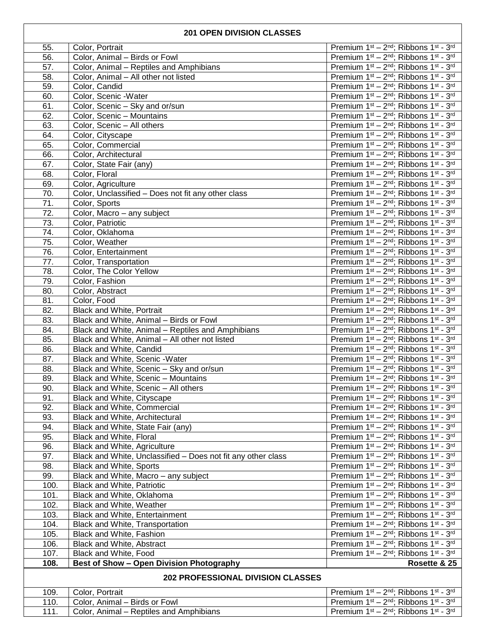#### **201 OPEN DIVISION CLASSES**

| 55.                                      | Color, Portrait                                              | Premium 1st - 2nd; Ribbons 1st - 3rd                                         |
|------------------------------------------|--------------------------------------------------------------|------------------------------------------------------------------------------|
| 56.                                      |                                                              |                                                                              |
|                                          | Color, Animal - Birds or Fowl                                | Premium 1st - 2nd; Ribbons 1st - 3rd                                         |
| $\overline{57}$ .                        | Color, Animal - Reptiles and Amphibians                      | Premium 1st - 2nd; Ribbons 1st - 3rd                                         |
| $\overline{58}$                          | Color, Animal - All other not listed                         | Premium 1st - 2nd; Ribbons 1st - 3rd                                         |
| $\overline{59}$ .                        | Color, Candid                                                | Premium 1st - 2nd; Ribbons 1st - 3rd                                         |
| 60.                                      | Color, Scenic -Water                                         | Premium 1st - 2nd; Ribbons 1st - 3rd                                         |
| 61.                                      | Color, Scenic - Sky and or/sun                               | Premium 1st - 2nd; Ribbons 1st - 3rd                                         |
| 62.                                      | Color, Scenic - Mountains                                    | Premium 1st - 2nd; Ribbons 1st - 3rd                                         |
| 63.                                      | Color, Scenic - All others                                   | Premium 1st - 2nd; Ribbons 1st - 3rd                                         |
| 64.                                      | Color, Cityscape                                             | Premium 1st - 2nd; Ribbons 1st - 3rd                                         |
| 65.                                      | Color, Commercial                                            | Premium 1st - 2nd; Ribbons 1st - 3rd                                         |
| 66.                                      | Color, Architectural                                         | Premium 1st - 2nd; Ribbons 1st - 3rd                                         |
| $\overline{6}7.$                         | Color, State Fair (any)                                      | Premium 1st - 2nd; Ribbons 1st - 3rd                                         |
| 68.                                      | Color, Floral                                                | Premium 1st - 2nd; Ribbons 1st - 3rd                                         |
| 69.                                      | Color, Agriculture                                           | Premium 1st - 2nd; Ribbons 1st - 3rd                                         |
| 70.                                      | Color, Unclassified - Does not fit any other class           | Premium 1st - 2nd; Ribbons 1st - 3rd                                         |
| $\overline{71}$ .                        | Color, Sports                                                | Premium 1st - 2nd; Ribbons 1st - 3rd                                         |
| 72.                                      | Color, Macro - any subject                                   | Premium 1st - 2nd; Ribbons 1st - 3rd                                         |
| $\overline{73.}$                         | Color, Patriotic                                             | Premium 1st - 2nd; Ribbons 1st - 3rd                                         |
| 74.                                      | Color, Oklahoma                                              | Premium 1st - 2nd; Ribbons 1st - 3rd                                         |
| $\overline{75}$ .                        | Color, Weather                                               | Premium 1st - 2nd; Ribbons 1st - 3rd                                         |
| 76.                                      | Color, Entertainment                                         | Premium 1st - 2nd; Ribbons 1st - 3rd                                         |
| $\overline{77}$ .                        | Color, Transportation                                        | Premium 1st - 2nd; Ribbons 1st - 3rd                                         |
| $\overline{78}$ .                        | Color, The Color Yellow                                      | Premium 1st - 2nd; Ribbons 1st - 3rd                                         |
| 79.                                      | Color, Fashion                                               | Premium 1st - 2nd; Ribbons 1st - 3rd                                         |
| $\overline{80}$ .                        | Color, Abstract                                              | Premium 1st - 2nd; Ribbons 1st - 3rd                                         |
| 81.                                      | Color, Food                                                  | Premium 1st - 2nd; Ribbons 1st - 3rd                                         |
| 82.                                      | <b>Black and White, Portrait</b>                             | Premium 1st - 2nd; Ribbons 1st - 3rd                                         |
| 83.                                      | Black and White, Animal - Birds or Fowl                      | Premium 1st - 2nd; Ribbons 1st - 3rd                                         |
| 84.                                      | Black and White, Animal - Reptiles and Amphibians            | Premium 1st - 2nd; Ribbons 1st - 3rd                                         |
| 85.                                      | Black and White, Animal - All other not listed               | Premium 1st - 2nd; Ribbons 1st - 3rd                                         |
| 86.                                      | Black and White, Candid                                      | Premium 1st - 2nd; Ribbons 1st - 3rd                                         |
| 87.                                      | Black and White, Scenic - Water                              | Premium 1st - 2nd; Ribbons 1st - 3rd                                         |
| 88.                                      | Black and White, Scenic - Sky and or/sun                     | Premium 1st - 2nd; Ribbons 1st - 3rd                                         |
| 89.                                      | Black and White, Scenic - Mountains                          | Premium 1st - 2nd; Ribbons 1st - 3rd                                         |
| 90.                                      | Black and White, Scenic - All others                         | Premium 1st - 2nd; Ribbons 1st - 3rd                                         |
| 91.                                      | Black and White, Cityscape                                   | Premium 1st - 2nd; Ribbons 1st - 3rd                                         |
| 92.                                      | Black and White, Commercial                                  |                                                                              |
| 93.                                      | Black and White, Architectural                               | Premium 1st - 2nd; Ribbons 1st - 3rd<br>Premium 1st - 2nd; Ribbons 1st - 3rd |
|                                          |                                                              |                                                                              |
| 94.<br>95.                               | Black and White, State Fair (any)                            | Premium 1st - 2nd; Ribbons 1st - 3rd                                         |
|                                          | Black and White, Floral                                      | Premium 1st - 2nd; Ribbons 1st - 3rd                                         |
| 96.                                      | <b>Black and White, Agriculture</b>                          | Premium 1st - 2nd; Ribbons 1st - 3rd                                         |
| 97.                                      | Black and White, Unclassified - Does not fit any other class | Premium 1st - 2nd; Ribbons 1st - 3rd                                         |
| 98.                                      | Black and White, Sports                                      | Premium 1st - 2nd; Ribbons 1st - 3rd                                         |
| 99.                                      | Black and White, Macro - any subject                         | Premium 1st - 2nd; Ribbons 1st - 3rd                                         |
| 100.                                     | <b>Black and White, Patriotic</b>                            | Premium 1st - 2nd; Ribbons 1st - 3rd                                         |
| 101.                                     | Black and White, Oklahoma                                    | Premium 1st - 2nd; Ribbons 1st - 3rd                                         |
| 102.                                     | Black and White, Weather                                     | Premium 1st - 2nd; Ribbons 1st - 3rd                                         |
| 103.                                     | Black and White, Entertainment                               | Premium 1st - 2nd; Ribbons 1st - 3rd                                         |
| 104.                                     | Black and White, Transportation                              | Premium 1st - 2nd; Ribbons 1st - 3rd                                         |
| 105.                                     | Black and White, Fashion                                     | Premium 1st - 2nd; Ribbons 1st - 3rd                                         |
| 106.                                     | Black and White, Abstract                                    | Premium 1st - 2nd; Ribbons 1st - 3rd                                         |
| 107.                                     | Black and White, Food                                        | Premium 1st - 2nd; Ribbons 1st - 3rd                                         |
| 108.                                     | <b>Best of Show - Open Division Photography</b>              | Rosette & 25                                                                 |
| <b>202 PROFESSIONAL DIVISION CLASSES</b> |                                                              |                                                                              |
| 109.                                     | Color, Portrait                                              | Premium 1st - 2nd; Ribbons 1st - 3rd                                         |
| 110.                                     | Color, Animal - Birds or Fowl                                | Premium 1st - 2nd; Ribbons 1st - 3rd                                         |
| 111.                                     | Color, Animal - Reptiles and Amphibians                      | Premium 1st - 2nd; Ribbons 1st - 3rd                                         |
|                                          |                                                              |                                                                              |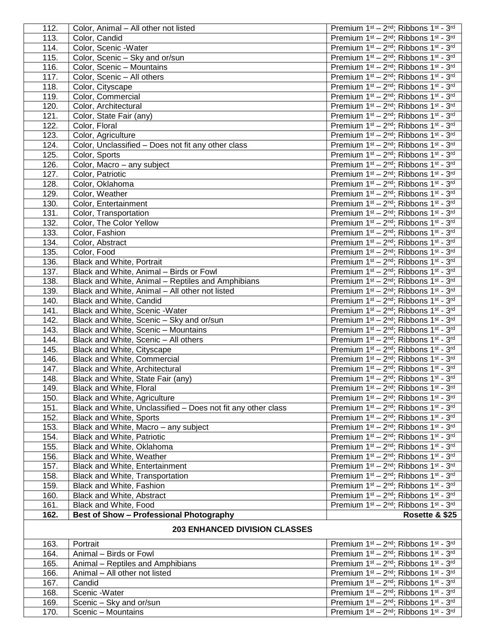| 112. | Color, Animal - All other not listed                                            | Premium 1st - 2nd; Ribbons 1st - 3rd                                         |
|------|---------------------------------------------------------------------------------|------------------------------------------------------------------------------|
| 113. | Color, Candid                                                                   | Premium 1st - 2nd; Ribbons 1st - 3rd                                         |
| 114. | Color, Scenic -Water                                                            | Premium 1st - 2nd; Ribbons 1st - 3rd                                         |
| 115. | Color, Scenic - Sky and or/sun                                                  | Premium 1st - 2nd; Ribbons 1st - 3rd                                         |
| 116. | Color, Scenic - Mountains                                                       | Premium 1st - 2nd; Ribbons 1st - 3rd                                         |
| 117. | Color, Scenic - All others                                                      | Premium 1st - 2nd; Ribbons 1st - 3rd                                         |
| 118. | Color, Cityscape                                                                | Premium 1st - 2nd; Ribbons 1st - 3rd                                         |
| 119. | Color, Commercial                                                               | Premium 1st - 2nd; Ribbons 1st - 3rd                                         |
| 120. | Color, Architectural                                                            | Premium 1st - 2nd; Ribbons 1st - 3rd                                         |
| 121. | Color, State Fair (any)                                                         | Premium 1st - 2nd; Ribbons 1st - 3rd                                         |
| 122. | Color, Floral                                                                   | Premium 1st - 2nd; Ribbons 1st - 3rd                                         |
| 123. | Color, Agriculture                                                              | Premium 1st - 2nd; Ribbons 1st - 3rd                                         |
| 124. | Color, Unclassified - Does not fit any other class                              | Premium 1st - 2nd; Ribbons 1st - 3rd                                         |
| 125. | Color, Sports                                                                   | Premium 1st - 2nd; Ribbons 1st - 3rd                                         |
| 126. | Color, Macro - any subject                                                      | Premium 1st - 2nd; Ribbons 1st - 3rd                                         |
| 127. | Color, Patriotic                                                                | Premium 1st - 2nd; Ribbons 1st - 3rd                                         |
| 128. | Color, Oklahoma                                                                 | Premium 1st - 2nd; Ribbons 1st - 3rd                                         |
| 129. | Color, Weather                                                                  | Premium 1st - 2nd; Ribbons 1st - 3rd                                         |
| 130. | Color, Entertainment                                                            | Premium 1st - 2nd; Ribbons 1st - 3rd                                         |
| 131. | Color, Transportation                                                           | Premium 1st - 2nd; Ribbons 1st - 3rd                                         |
| 132. | Color, The Color Yellow                                                         | Premium 1st - 2nd; Ribbons 1st - 3rd                                         |
| 133. | Color, Fashion                                                                  | Premium 1st - 2nd; Ribbons 1st - 3rd                                         |
| 134. | Color, Abstract                                                                 | Premium 1st - 2nd; Ribbons 1st - 3rd                                         |
| 135. | Color, Food                                                                     | Premium 1st - 2nd; Ribbons 1st - 3rd                                         |
| 136. | <b>Black and White, Portrait</b>                                                | Premium 1st - 2nd; Ribbons 1st - 3rd                                         |
| 137. | Black and White, Animal - Birds or Fowl                                         | Premium 1st - 2nd; Ribbons 1st - 3rd                                         |
| 138. | Black and White, Animal - Reptiles and Amphibians                               | Premium 1st - 2nd; Ribbons 1st - 3rd                                         |
| 139. | Black and White, Animal - All other not listed                                  | Premium 1st - 2nd; Ribbons 1st - 3rd                                         |
| 140. | Black and White, Candid                                                         | Premium 1st - 2nd; Ribbons 1st - 3rd                                         |
| 141. | Black and White, Scenic -Water                                                  | Premium 1st - 2nd; Ribbons 1st - 3rd                                         |
| 142. |                                                                                 | Premium 1st - 2nd; Ribbons 1st - 3rd                                         |
| 143. | Black and White, Scenic - Sky and or/sun<br>Black and White, Scenic - Mountains | Premium 1st - 2nd; Ribbons 1st - 3rd                                         |
|      |                                                                                 |                                                                              |
| 144. | Black and White, Scenic - All others                                            | Premium 1st - 2nd; Ribbons 1st - 3rd                                         |
| 145. | Black and White, Cityscape                                                      | Premium 1st - 2nd; Ribbons 1st - 3rd                                         |
| 146. | Black and White, Commercial                                                     | Premium 1st - 2nd; Ribbons 1st - 3rd                                         |
| 147. | Black and White, Architectural                                                  | Premium 1st - 2nd; Ribbons 1st - 3rd                                         |
| 148. | Black and White, State Fair (any)<br><b>Black and White, Floral</b>             | Premium 1st - 2nd; Ribbons 1st - 3rd<br>Premium 1st - 2nd; Ribbons 1st - 3rd |
| 149. |                                                                                 |                                                                              |
| 150. | Black and White, Agriculture                                                    | Premium 1st - 2nd; Ribbons 1st - 3rd                                         |
| 151. | Black and White, Unclassified - Does not fit any other class                    | Premium 1st - 2nd; Ribbons 1st - 3rd                                         |
| 152. | <b>Black and White, Sports</b>                                                  | Premium 1st - 2nd; Ribbons 1st - 3rd                                         |
| 153. | Black and White, Macro - any subject                                            | Premium 1st - 2nd; Ribbons 1st - 3rd                                         |
| 154. | <b>Black and White, Patriotic</b>                                               | Premium 1st - 2nd; Ribbons 1st - 3rd                                         |
| 155. | Black and White, Oklahoma                                                       | Premium 1st - 2nd; Ribbons 1st - 3rd                                         |
| 156. | Black and White, Weather                                                        | Premium 1st - 2nd; Ribbons 1st - 3rd                                         |
| 157. | Black and White, Entertainment                                                  | Premium 1st - 2nd; Ribbons 1st - 3rd                                         |
| 158. | Black and White, Transportation                                                 | Premium 1st - 2nd; Ribbons 1st - 3rd                                         |
| 159. | Black and White, Fashion                                                        | Premium 1st - 2nd; Ribbons 1st - 3rd                                         |
| 160. | Black and White, Abstract                                                       | Premium 1st - 2nd; Ribbons 1st - 3rd                                         |
| 161. | Black and White, Food                                                           | Premium 1st - 2nd; Ribbons 1st - 3rd                                         |
| 162. | <b>Best of Show - Professional Photography</b>                                  | Rosette & \$25                                                               |
|      | <b>203 ENHANCED DIVISION CLASSES</b>                                            |                                                                              |
| 163. | Portrait                                                                        | Premium 1st - 2nd; Ribbons 1st - 3rd                                         |
| 164. | Animal - Birds or Fowl                                                          | Premium 1st - 2nd; Ribbons 1st - 3rd                                         |
| 165. | Animal - Reptiles and Amphibians                                                | Premium 1st - 2nd; Ribbons 1st - 3rd                                         |
| 166. | Animal - All other not listed                                                   | Premium 1st - 2nd; Ribbons 1st - 3rd                                         |
| 167. | Candid                                                                          | Premium 1st - 2nd; Ribbons 1st - 3rd                                         |
| 168. | Scenic - Water                                                                  | Premium 1st - 2nd; Ribbons 1st - 3rd                                         |
| 169. | Scenic - Sky and or/sun                                                         | Premium 1st - 2nd; Ribbons 1st - 3rd                                         |
| 170. | Scenic - Mountains                                                              | Premium 1st - 2nd; Ribbons 1st - 3rd                                         |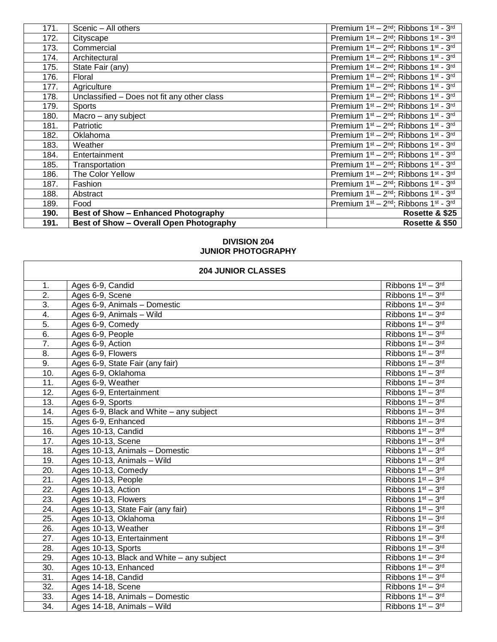| 171. | Scenic - All others                         | Premium 1st - 2nd; Ribbons 1st - 3rd                                                  |
|------|---------------------------------------------|---------------------------------------------------------------------------------------|
| 172. | Cityscape                                   | Premium 1 <sup>st</sup> - 2 <sup>nd</sup> ; Ribbons 1 <sup>st</sup> - 3 <sup>rd</sup> |
| 173. | Commercial                                  | Premium 1st - 2nd; Ribbons 1st - 3rd                                                  |
| 174. | Architectural                               | Premium 1 <sup>st</sup> - 2 <sup>nd</sup> ; Ribbons 1 <sup>st</sup> - 3 <sup>rd</sup> |
| 175. | State Fair (any)                            | Premium 1 <sup>st</sup> - 2 <sup>nd</sup> ; Ribbons 1 <sup>st</sup> - 3 <sup>rd</sup> |
| 176. | Floral                                      | Premium 1st - 2nd; Ribbons 1st - 3rd                                                  |
| 177. | Agriculture                                 | Premium 1st - 2nd; Ribbons 1st - 3rd                                                  |
| 178. | Unclassified - Does not fit any other class | Premium 1 <sup>st</sup> - 2 <sup>nd</sup> ; Ribbons 1 <sup>st</sup> - 3 <sup>rd</sup> |
| 179. | <b>Sports</b>                               | Premium 1st - 2nd; Ribbons 1st - 3rd                                                  |
| 180. | Macro - any subject                         | Premium 1 <sup>st</sup> - 2 <sup>nd</sup> ; Ribbons 1 <sup>st</sup> - 3 <sup>rd</sup> |
| 181. | Patriotic                                   | Premium 1st - 2nd; Ribbons 1st - 3rd                                                  |
| 182. | Oklahoma                                    | Premium 1 <sup>st</sup> - 2 <sup>nd</sup> ; Ribbons 1 <sup>st</sup> - 3 <sup>rd</sup> |
| 183. | Weather                                     | Premium 1 <sup>st</sup> - 2 <sup>nd</sup> ; Ribbons 1 <sup>st</sup> - 3 <sup>rd</sup> |
| 184. | Entertainment                               | Premium 1 <sup>st</sup> - 2 <sup>nd</sup> ; Ribbons 1 <sup>st</sup> - 3 <sup>rd</sup> |
| 185. | Transportation                              | Premium 1 <sup>st</sup> - 2 <sup>nd</sup> ; Ribbons 1 <sup>st</sup> - 3 <sup>rd</sup> |
| 186. | The Color Yellow                            | Premium 1 <sup>st</sup> - 2 <sup>nd</sup> ; Ribbons 1 <sup>st</sup> - 3 <sup>rd</sup> |
| 187. | Fashion                                     | Premium 1 <sup>st</sup> - 2 <sup>nd</sup> ; Ribbons 1 <sup>st</sup> - 3 <sup>rd</sup> |
| 188. | Abstract                                    | Premium 1st - 2nd; Ribbons 1st - 3rd                                                  |
| 189. | Food                                        | Premium 1 <sup>st</sup> - 2 <sup>nd</sup> ; Ribbons 1 <sup>st</sup> - 3 <sup>rd</sup> |
| 190. | <b>Best of Show - Enhanced Photography</b>  | Rosette & \$25                                                                        |
| 191. | Best of Show - Overall Open Photography     | Rosette & \$50                                                                        |

## **DIVISION 204 JUNIOR PHOTOGRAPHY**

| <b>204 JUNIOR CLASSES</b> |                                           |                                           |
|---------------------------|-------------------------------------------|-------------------------------------------|
| 1.                        | Ages 6-9, Candid                          | Ribbons $1^{st} - 3^{rd}$                 |
| $\overline{2}$ .          | Ages 6-9, Scene                           | Ribbons 1st - 3rd                         |
| $\overline{3}$ .          | Ages 6-9, Animals - Domestic              | Ribbons $1st - 3rd$                       |
| 4.                        | Ages 6-9, Animals - Wild                  | Ribbons 1 <sup>st</sup> - 3 <sup>rd</sup> |
| $\overline{5}$ .          | Ages 6-9, Comedy                          | Ribbons $1st - 3rd$                       |
| 6.                        | Ages 6-9, People                          | Ribbons $1st - 3rd$                       |
| $\overline{7}$ .          | Ages 6-9, Action                          | Ribbons $1st - 3rd$                       |
| 8.                        | Ages 6-9, Flowers                         | Ribbons $1st - 3rd$                       |
| 9.                        | Ages 6-9, State Fair (any fair)           | Ribbons 1st - 3rd                         |
| 10.                       | Ages 6-9, Oklahoma                        | Ribbons 1st - 3rd                         |
| 11.                       | Ages 6-9, Weather                         | Ribbons 1st - 3rd                         |
| 12.                       | Ages 6-9, Entertainment                   | Ribbons $1st - 3rd$                       |
| 13.                       | Ages 6-9, Sports                          | Ribbons 1st - 3rd                         |
| 14.                       | Ages 6-9, Black and White - any subject   | Ribbons 1st - 3rd                         |
| 15.                       | Ages 6-9, Enhanced                        | Ribbons 1st - 3rd                         |
| 16.                       | Ages 10-13, Candid                        | Ribbons $1st - 3rd$                       |
| 17.                       | Ages 10-13, Scene                         | Ribbons $1st - 3rd$                       |
| 18.                       | Ages 10-13, Animals - Domestic            | Ribbons $1st - 3rd$                       |
| 19.                       | Ages 10-13, Animals - Wild                | Ribbons 1st - 3rd                         |
| 20.                       | Ages 10-13, Comedy                        | Ribbons 1st - 3rd                         |
| $\overline{21}$ .         | Ages 10-13, People                        | Ribbons $1st - 3rd$                       |
| 22.                       | Ages 10-13, Action                        | Ribbons $1st - 3rd$                       |
| 23.                       | Ages 10-13, Flowers                       | Ribbons 1st - 3rd                         |
| $\overline{24}$ .         | Ages 10-13, State Fair (any fair)         | Ribbons 1st - 3rd                         |
| 25.                       | Ages 10-13, Oklahoma                      | Ribbons 1 <sup>st</sup> - 3 <sup>rd</sup> |
| 26.                       | Ages 10-13, Weather                       | Ribbons 1st - 3rd                         |
| 27.                       | Ages 10-13, Entertainment                 | Ribbons $1st - 3rd$                       |
| 28.                       | Ages 10-13, Sports                        | Ribbons $1st - 3rd$                       |
| 29.                       | Ages 10-13, Black and White – any subject | Ribbons 1st - 3rd                         |
| 30.                       | Ages 10-13, Enhanced                      | Ribbons 1st - 3rd                         |
| 31.                       | Ages 14-18, Candid                        | Ribbons 1st - 3rd                         |
| 32.                       | Ages 14-18, Scene                         | Ribbons $1st - 3rd$                       |
| 33.                       | Ages 14-18, Animals - Domestic            | Ribbons $1st - 3rd$                       |

34. | Ages 14-18, Animals – Wild Ribbons 1st – 3 | Ribbons 1st – 3

rd

٦